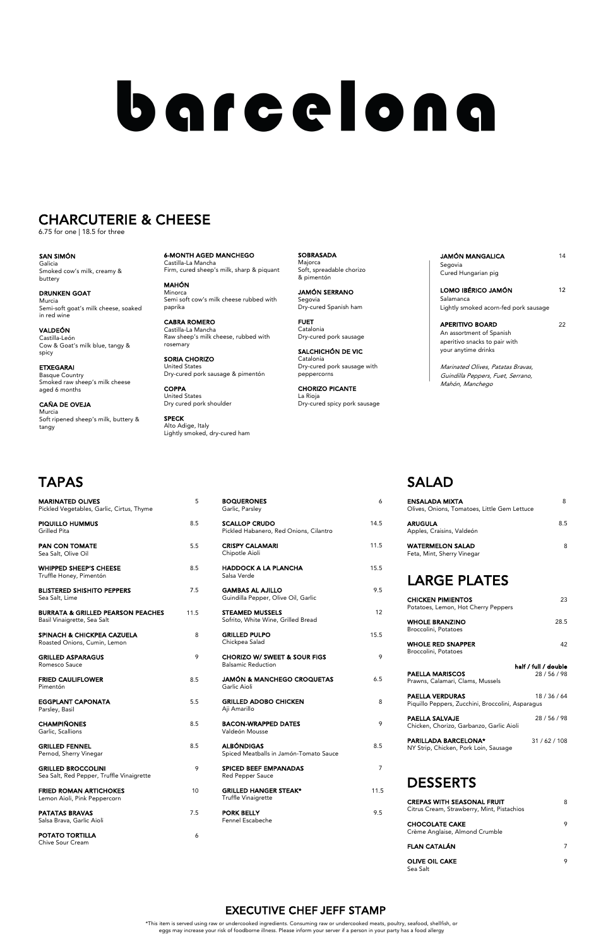# barcelona

# **CHARCUTERIE & CHEESE**<br>6.75 for one | 18.5 for three

## TAPAS

| <b>MARINATED OLIVES</b><br>Pickled Vegetables, Garlic, Cirtus, Thyme        | 5    | <b>BOQUERONES</b><br>Garlic, Parsley                                 | 6              | <b>ENSALADA MIXTA</b><br>Olives, Onions, Tomatoes, Little Gem Lettuce       | 8                    |
|-----------------------------------------------------------------------------|------|----------------------------------------------------------------------|----------------|-----------------------------------------------------------------------------|----------------------|
| <b>PIQUILLO HUMMUS</b><br>Grilled Pita                                      | 8.5  | <b>SCALLOP CRUDO</b><br>Pickled Habanero, Red Onions, Cilantro       | 14.5           | <b>ARUGULA</b><br>Apples, Craisins, Valdeón                                 | 8.5                  |
| <b>PAN CON TOMATE</b><br>Sea Salt, Olive Oil                                | 5.5  | <b>CRISPY CALAMARI</b><br>Chipotle Aioli                             | 11.5           | <b>WATERMELON SALAD</b><br>Feta, Mint, Sherry Vinegar                       | 8                    |
| <b>WHIPPED SHEEP'S CHEESE</b><br>Truffle Honey, Pimentón                    | 8.5  | <b>HADDOCK A LA PLANCHA</b><br>Salsa Verde                           | 15.5           | <b>LARGE PLATES</b>                                                         |                      |
| <b>BLISTERED SHISHITO PEPPERS</b><br>Sea Salt, Lime                         | 7.5  | <b>GAMBAS AL AJILLO</b><br>Guindilla Pepper, Olive Oil, Garlic       | 9.5            | <b>CHICKEN PIMIENTOS</b>                                                    | 23                   |
| <b>BURRATA &amp; GRILLED PEARSON PEACHES</b><br>Basil Vinaigrette, Sea Salt | 11.5 | <b>STEAMED MUSSELS</b><br>Sofrito, White Wine, Grilled Bread         | 12             | Potatoes, Lemon, Hot Cherry Peppers<br><b>WHOLE BRANZINO</b>                | 28.5                 |
| SPINACH & CHICKPEA CAZUELA<br>Roasted Onions, Cumin, Lemon                  | 8    | <b>GRILLED PULPO</b><br>Chickpea Salad                               | 15.5           | Broccolini, Potatoes<br><b>WHOLE RED SNAPPER</b>                            | 42                   |
| <b>GRILLED ASPARAGUS</b><br>Romesco Sauce                                   | 9    | <b>CHORIZO W/ SWEET &amp; SOUR FIGS</b><br><b>Balsamic Reduction</b> | 9              | Broccolini, Potatoes                                                        | half / full / double |
| <b>FRIED CAULIFLOWER</b><br>Pimentón                                        | 8.5  | <b>JAMÓN &amp; MANCHEGO CROQUETAS</b><br>Garlic Aioli                | 6.5            | <b>PAELLA MARISCOS</b><br>Prawns, Calamari, Clams, Mussels                  | 28 / 56 / 98         |
| <b>EGGPLANT CAPONATA</b><br>Parsley, Basil                                  | 5.5  | <b>GRILLED ADOBO CHICKEN</b><br>Aji Amarillo                         | 8              | <b>PAELLA VERDURAS</b><br>Piquillo Peppers, Zucchini, Broccolini, Asparagus | 18/36/64             |
| <b>CHAMPIÑONES</b><br>Garlic, Scallions                                     | 8.5  | <b>BACON-WRAPPED DATES</b><br>Valdeón Mousse                         | 9              | <b>PAELLA SALVAJE</b><br>Chicken, Chorizo, Garbanzo, Garlic Aioli           | 28 / 56 / 98         |
| <b>GRILLED FENNEL</b><br>Pernod, Sherry Vinegar                             | 8.5  | <b>ALBÓNDIGAS</b><br>Spiced Meatballs in Jamón-Tomato Sauce          | 8.5            | <b>PARILLADA BARCELONA*</b><br>NY Strip, Chicken, Pork Loin, Sausage        | 31/62/108            |
| <b>GRILLED BROCCOLINI</b><br>Sea Salt, Red Pepper, Truffle Vinaigrette      | 9    | <b>SPICED BEEF EMPANADAS</b><br>Red Pepper Sauce                     | $\overline{7}$ |                                                                             |                      |
| <b>FRIED ROMAN ARTICHOKES</b><br>Lemon Aioli, Pink Peppercorn               | 10   | <b>GRILLED HANGER STEAK*</b><br>Truffle Vinaigrette                  | 11.5           | <b>DESSERTS</b><br><b>CREPAS WITH SEASONAL FRUIT</b>                        | 8                    |
| <b>PATATAS BRAVAS</b><br>Salsa Brava, Garlic Aioli                          | 7.5  | <b>PORK BELLY</b><br>Fennel Escabeche                                | 9.5            | Citrus Cream, Strawberry, Mint, Pistachios                                  |                      |
| POTATO TORTILLA                                                             | 6    |                                                                      |                | <b>CHOCOLATE CAKE</b><br>Crème Anglaise, Almond Crumble                     | 9                    |
| Chive Sour Cream                                                            |      |                                                                      |                | <b>FLAN CATALÁN</b>                                                         | $\overline{7}$       |
|                                                                             |      |                                                                      |                | <b>OLIVE OIL CAKE</b>                                                       | 9                    |

| <b>MARINATED OLIVES</b><br>Pickled Vegetables, Garlic, Cirtus, Thyme        | 5    | <b>BOQUERONES</b><br>Garlic, Parsley                                 | 6              | <b>ENSALADA MIXTA</b><br>Olives, Onions, Tomatoes, Little Gem Lettuce       |                   |
|-----------------------------------------------------------------------------|------|----------------------------------------------------------------------|----------------|-----------------------------------------------------------------------------|-------------------|
| <b>PIQUILLO HUMMUS</b><br>Grilled Pita                                      | 8.5  | <b>SCALLOP CRUDO</b><br>Pickled Habanero, Red Onions, Cilantro       | 14.5           | <b>ARUGULA</b><br>Apples, Craisins, Valdeón                                 |                   |
| <b>PAN CON TOMATE</b><br>Sea Salt, Olive Oil                                | 5.5  | <b>CRISPY CALAMARI</b><br>Chipotle Aioli                             | 11.5           | <b>WATERMELON SALAD</b><br>Feta, Mint, Sherry Vinegar                       |                   |
| <b>WHIPPED SHEEP'S CHEESE</b><br>Truffle Honey, Pimentón                    | 8.5  | <b>HADDOCK A LA PLANCHA</b><br>Salsa Verde                           | 15.5           | <b>LARGE PLATES</b>                                                         |                   |
| <b>BLISTERED SHISHITO PEPPERS</b><br>Sea Salt, Lime                         | 7.5  | <b>GAMBAS AL AJILLO</b><br>Guindilla Pepper, Olive Oil, Garlic       | 9.5            | <b>CHICKEN PIMIENTOS</b>                                                    |                   |
| <b>BURRATA &amp; GRILLED PEARSON PEACHES</b><br>Basil Vinaigrette, Sea Salt | 11.5 | <b>STEAMED MUSSELS</b><br>Sofrito, White Wine, Grilled Bread         | 12             | Potatoes, Lemon, Hot Cherry Peppers<br><b>WHOLE BRANZINO</b>                |                   |
| <b>SPINACH &amp; CHICKPEA CAZUELA</b><br>Roasted Onions, Cumin, Lemon       | 8    | <b>GRILLED PULPO</b><br>Chickpea Salad                               | 15.5           | Broccolini, Potatoes<br><b>WHOLE RED SNAPPER</b>                            |                   |
| <b>GRILLED ASPARAGUS</b><br>Romesco Sauce                                   | 9    | <b>CHORIZO W/ SWEET &amp; SOUR FIGS</b><br><b>Balsamic Reduction</b> | 9              | Broccolini, Potatoes                                                        | half / full / dou |
| <b>FRIED CAULIFLOWER</b><br>Pimentón                                        | 8.5  | <b>JAMÓN &amp; MANCHEGO CROQUETAS</b><br>Garlic Aioli                | 6.5            | <b>PAELLA MARISCOS</b><br>Prawns, Calamari, Clams, Mussels                  | 28/56/            |
| <b>EGGPLANT CAPONATA</b><br>Parsley, Basil                                  | 5.5  | <b>GRILLED ADOBO CHICKEN</b><br>Aji Amarillo                         | 8              | <b>PAELLA VERDURAS</b><br>Piquillo Peppers, Zucchini, Broccolini, Asparagus | 18/36/            |
| <b>CHAMPIÑONES</b><br>Garlic, Scallions                                     | 8.5  | <b>BACON-WRAPPED DATES</b><br>Valdeón Mousse                         | 9              | PAELLA SALVAJE<br>Chicken, Chorizo, Garbanzo, Garlic Aioli                  | 28/56/            |
| <b>GRILLED FENNEL</b><br>Pernod, Sherry Vinegar                             | 8.5  | <b>ALBÓNDIGAS</b><br>Spiced Meatballs in Jamón-Tomato Sauce          | 8.5            | <b>PARILLADA BARCELONA*</b><br>NY Strip, Chicken, Pork Loin, Sausage        | 31/62/            |
| <b>GRILLED BROCCOLINI</b><br>Sea Salt, Red Pepper, Truffle Vinaigrette      | 9    | SPICED BEEF EMPANADAS<br><b>Red Pepper Sauce</b>                     | $\overline{7}$ |                                                                             |                   |
| <b>FRIED ROMAN ARTICHOKES</b><br>Lemon Aioli, Pink Peppercorn               | 10   | <b>GRILLED HANGER STEAK*</b><br>Truffle Vinaigrette                  | 11.5           | <b>DESSERTS</b><br><b>CREPAS WITH SEASONAL FRUIT</b>                        |                   |
| <b>PATATAS BRAVAS</b>                                                       | 7.5  | <b>PORK BELLY</b>                                                    | 9.5            | Citrus Cream, Strawberry, Mint, Pistachios                                  |                   |
| Salsa Brava, Garlic Aioli<br>POTATO TORTILLA                                |      | Fennel Escabeche                                                     |                | <b>CHOCOLATE CAKE</b><br>Crème Anglaise, Almond Crumble                     |                   |
| <b>Chive Sour Cream</b>                                                     | 6    |                                                                      |                | <b>FLAN CATALÁN</b>                                                         |                   |
|                                                                             |      |                                                                      |                | <b>OLIVE OIL CAKE</b>                                                       |                   |

**SOBRASADA** Majorca Soft, spreadable chorizo & pimentón

## SALAD

JAMÓN MANGALICA 14 Segovia

Cured Hungarian pig LOMO IBÉRICO JAMÓN 12

APERITIVO BOARD 22 An assortment of Spanish aperitivo snacks to pair with your anytime drinks

| ENSALADA MIXTA<br>Olives, Onions, Tomatoes, Little Gem Lettuce  | 8                                |
|-----------------------------------------------------------------|----------------------------------|
| <b>ARUGULA</b><br>Apples, Craisins, Valdeón                     | 8.5                              |
| <b>WATERMELON SALAD</b><br>Feta, Mint, Sherry Vinegar           | 8                                |
| <b>LARGE PLATES</b>                                             |                                  |
| <b>CHICKEN PIMIENTOS</b><br>Potatoes, Lemon, Hot Cherry Peppers | 23                               |
| <b>WHOLE BRANZINO</b><br>Broccolini, Potatoes                   | 28.5                             |
| <b>WHOLE RED SNAPPER</b><br>Broccolini, Potatoes                | 42                               |
| <b>PAELLA MARISCOS</b><br>Prawns, Calamari, Clams, Mussels      | half / full / double<br>28/56/98 |

Sea Salt

6-MONTH AGED MANCHEGO Castilla-La Mancha Firm, cured sheep's milk, sharp & piquant

MAHÓN Minorca Semi soft cow's milk cheese rubbed with paprika

CABRA ROMERO Castilla-La Mancha Raw sheep's milk cheese, rubbed with rosemary

SORIA CHORIZO United States Dry-cured pork sausage & pimentón

COPPA United States Dry cured pork shoulder

SPECK Alto Adige, Italy Lightly smoked, dry-cured ham JAMÓN SERRANO Segovia Dry-cured Spanish ham

FUET Catalonia Dry-cured pork sausage

SALCHICHÓN DE VIC Catalonia Dry-cured pork sausage with peppercorns

CHORIZO PICANTE La Rioja Dry-cured spicy pork sausage Salamanca Lightly smoked acorn-fed pork sausage

 \*This item is served using raw or undercooked ingredients. Consuming raw or undercooked meats, poultry, seafood, shellfish, or eggs may increase your risk of foodborne illness. Please inform your server if a person in your party has a food allergy

Marinated Olives, Patatas Bravas, Guindilla Peppers, Fuet, Serrano, Mahón, Manchego

SAN SIMÓN Galicia Smoked cow's milk, creamy & buttery

DRUNKEN GOAT Murcia Semi-soft goat's milk cheese, soaked in red wine

VALDEÓN Castilla-León Cow & Goat's milk blue, tangy & spicy

ETXEGARAI Basque Country Smoked raw sheep's milk cheese aged 6 months

CAÑA DE OVEJA Murcia Soft ripened sheep's milk, buttery & tangy

## EXECUTIVE CHEF JEFF STAMP